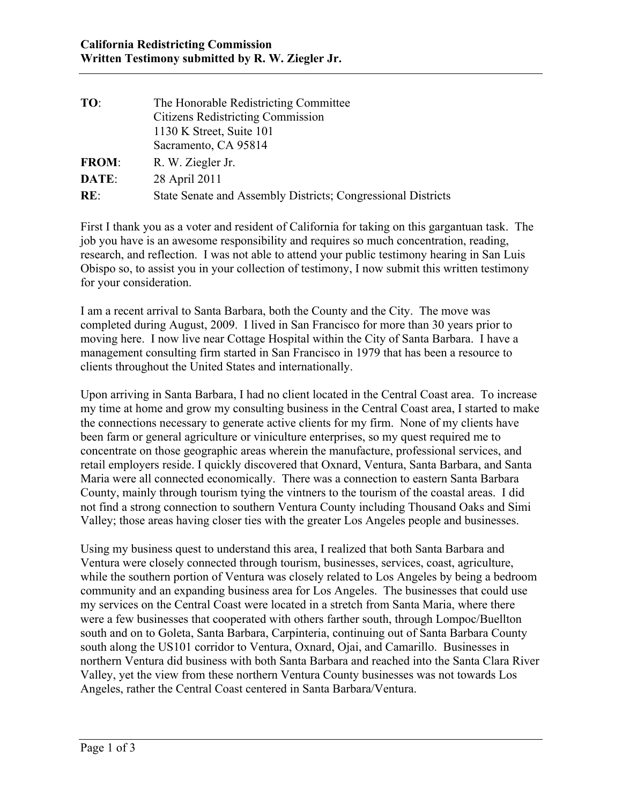| TO:          | The Honorable Redistricting Committee                        |
|--------------|--------------------------------------------------------------|
|              | <b>Citizens Redistricting Commission</b>                     |
|              | 1130 K Street, Suite 101                                     |
|              | Sacramento, CA 95814                                         |
| <b>FROM:</b> | R. W. Ziegler Jr.                                            |
| <b>DATE:</b> | 28 April 2011                                                |
| RE:          | State Senate and Assembly Districts; Congressional Districts |

 Obispo so, to assist you in your collection of testimony, I now submit this written testimony First I thank you as a voter and resident of California for taking on this gargantuan task. The job you have is an awesome responsibility and requires so much concentration, reading, research, and reflection. I was not able to attend your public testimony hearing in San Luis for your consideration.

I am a recent arrival to Santa Barbara, both the County and the City. The move was completed during August, 2009. I lived in San Francisco for more than 30 years prior to moving here. I now live near Cottage Hospital within the City of Santa Barbara. I have a management consulting firm started in San Francisco in 1979 that has been a resource to clients throughout the United States and internationally.

 Upon arriving in Santa Barbara, I had no client located in the Central Coast area. To increase the connections necessary to generate active clients for my firm. None of my clients have been farm or general agriculture or viniculture enterprises, so my quest required me to Maria were all connected economically. There was a connection to eastern Santa Barbara not find a strong connection to southern Ventura County including Thousand Oaks and Simi my time at home and grow my consulting business in the Central Coast area, I started to make concentrate on those geographic areas wherein the manufacture, professional services, and retail employers reside. I quickly discovered that Oxnard, Ventura, Santa Barbara, and Santa County, mainly through tourism tying the vintners to the tourism of the coastal areas. I did Valley; those areas having closer ties with the greater Los Angeles people and businesses.

 my services on the Central Coast were located in a stretch from Santa Maria, where there Using my business quest to understand this area, I realized that both Santa Barbara and Ventura were closely connected through tourism, businesses, services, coast, agriculture, while the southern portion of Ventura was closely related to Los Angeles by being a bedroom community and an expanding business area for Los Angeles. The businesses that could use were a few businesses that cooperated with others farther south, through Lompoc/Buellton south and on to Goleta, Santa Barbara, Carpinteria, continuing out of Santa Barbara County south along the US101 corridor to Ventura, Oxnard, Ojai, and Camarillo. Businesses in northern Ventura did business with both Santa Barbara and reached into the Santa Clara River Valley, yet the view from these northern Ventura County businesses was not towards Los Angeles, rather the Central Coast centered in Santa Barbara/Ventura.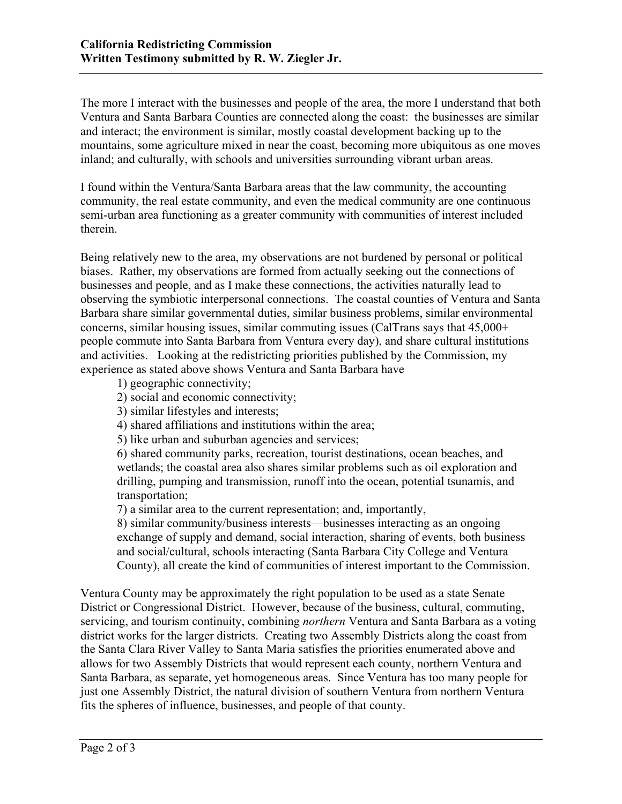Ventura and Santa Barbara Counties are connected along the coast: the businesses are similar and interact; the environment is similar, mostly coastal development backing up to the inland; and culturally, with schools and universities surrounding vibrant urban areas. The more I interact with the businesses and people of the area, the more I understand that both mountains, some agriculture mixed in near the coast, becoming more ubiquitous as one moves

 I found within the Ventura/Santa Barbara areas that the law community, the accounting community, the real estate community, and even the medical community are one continuous semi-urban area functioning as a greater community with communities of interest included therein.

 biases. Rather, my observations are formed from actually seeking out the connections of businesses and people, and as I make these connections, the activities naturally lead to observing the symbiotic interpersonal connections. The coastal counties of Ventura and Santa people commute into Santa Barbara from Ventura every day), and share cultural institutions and activities. Looking at the redistricting priorities published by the Commission, my experience as stated above shows Ventura and Santa Barbara have Being relatively new to the area, my observations are not burdened by personal or political Barbara share similar governmental duties, similar business problems, similar environmental concerns, similar housing issues, similar commuting issues (CalTrans says that 45,000+

- 1) geographic connectivity;
- 2) social and economic connectivity;
- 3) similar lifestyles and interests;
- 2) social and economic connectivity;<br>3) similar lifestyles and interests;<br>4) shared affiliations and institutions within the area;<br>5) like urban and suburban agencies and services;
- 

transportation; 6) shared community parks, recreation, tourist destinations, ocean beaches, and wetlands; the coastal area also shares similar problems such as oil exploration and drilling, pumping and transmission, runoff into the ocean, potential tsunamis, and

 $\tau$ ) a similar area to the current representation; and, importantly,

8) similar community/business interests—businesses interacting as an ongoing exchange of supply and demand, social interaction, sharing of events, both business and social/cultural, schools interacting (Santa Barbara City College and Ventura County), all create the kind of communities of interest important to the Commission.

 the Santa Clara River Valley to Santa Maria satisfies the priorities enumerated above and allows for two Assembly Districts that would represent each county, northern Ventura and just one Assembly District, the natural division of southern Ventura from northern Ventura Ventura County may be approximately the right population to be used as a state Senate District or Congressional District. However, because of the business, cultural, commuting, servicing, and tourism continuity, combining *northern* Ventura and Santa Barbara as a voting district works for the larger districts. Creating two Assembly Districts along the coast from Santa Barbara, as separate, yet homogeneous areas. Since Ventura has too many people for fits the spheres of influence, businesses, and people of that county.